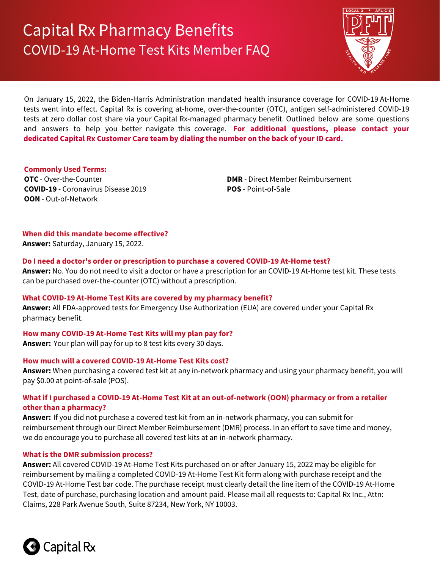# Capital Rx Pharmacy Benefits COVID-19 At-Home Test Kits Member FAQ



On January 15, 2022, the Biden-Harris Administration mandated health insurance coverage for COVID-19 At-Home tests went into effect. Capital Rx is covering at-home, over-the-counter (OTC), antigen self-administered COVID-19 tests at zero dollar cost share via your Capital Rx-managed pharmacy benefit. Outlined below are some questions and answers to help you better navigate this coverage. **For additional questions, please contact your dedicated Capital Rx Customer Care team by dialing the number on the back of your ID card.** 

## **Commonly Used Terms:**

**OTC** - Over-the-Counter **COVID-19** - Coronavirus Disease 2019 **OON** - Out-of-Network

**DMR** - Direct Member Reimbursement **POS** - Point-of-Sale

# **When did this mandate become effective?**

**Answer:** Saturday, January 15, 2022.

## **Do I need a doctor's order or prescription to purchase a covered COVID-19 At-Home test?**

**Answer:** No. You do not need to visit a doctor or have a prescription for an COVID-19 At-Home test kit. These tests can be purchased over-the-counter (OTC) without a prescription.

# **What COVID-19 At-Home Test Kits are covered by my pharmacy benefit?**

**Answer:** All FDA-approved tests for Emergency Use Authorization (EUA) are covered under your Capital Rx pharmacy benefit.

# **How many COVID-19 At-Home Test Kits will my plan pay for?**

**Answer:** Your plan will pay for up to 8 test kits every 30 days.

# **How much will a covered COVID-19 At-Home Test Kits cost?**

**Answer:** When purchasing a covered test kit at any in-network pharmacy and using your pharmacy benefit, you will pay \$0.00 at point-of-sale (POS).

# **What if I purchased a COVID-19 At-Home Test Kit at an out-of-network (OON) pharmacy or from a retailer other than a pharmacy?**

**Answer:** If you did not purchase a covered test kit from an in-network pharmacy, you can submit for reimbursement through our Direct Member Reimbursement (DMR) process. In an effort to save time and money, we do encourage you to purchase all covered test kits at an in-network pharmacy.

# **What is the DMR submission process?**

**Answer:** All covered COVID-19 At-Home Test Kits purchased on or after January 15, 2022 may be eligible for reimbursement by mailing a completed COVID-19 At-Home Test Kit form along with purchase receipt and the COVID-19 At-Home Test bar code. The purchase receipt must clearly detail the line item of the COVID-19 At-Home Test, date of purchase, purchasing location and amount paid. Please mail all requests to: Capital Rx Inc., Attn: Claims, 228 Park Avenue South, Suite 87234, New York, NY 10003.